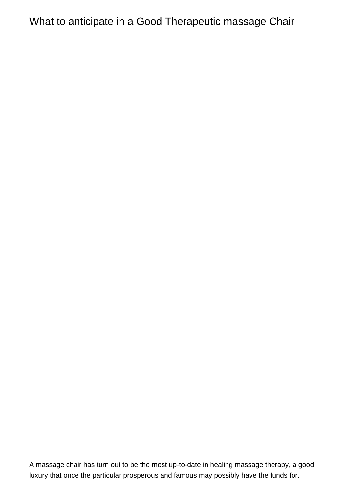## What to anticipate in a Good Therapeutic massage Chair

A massage chair has turn out to be the most up-to-date in healing massage therapy, a good luxury that once the particular prosperous and famous may possibly have the funds for.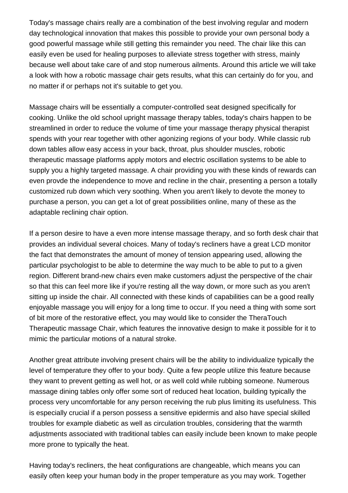Today's massage chairs really are a combination of the best involving regular and modern day technological innovation that makes this possible to provide your own personal body a good powerful massage while still getting this remainder you need. The chair like this can easily even be used for healing purposes to alleviate stress together with stress, mainly because well about take care of and stop numerous ailments. Around this article we will take a look with how a robotic massage chair gets results, what this can certainly do for you, and no matter if or perhaps not it's suitable to get you.

Massage chairs will be essentially a computer-controlled seat designed specifically for cooking. Unlike the old school upright massage therapy tables, today's chairs happen to be streamlined in order to reduce the volume of time your massage therapy physical therapist spends with your rear together with other agonizing regions of your body. While classic rub down tables allow easy access in your back, throat, plus shoulder muscles, robotic therapeutic massage platforms apply motors and electric oscillation systems to be able to supply you a highly targeted massage. A chair providing you with these kinds of rewards can even provde the independence to move and recline in the chair, presenting a person a totally customized rub down which very soothing. When you aren't likely to devote the money to purchase a person, you can get a lot of great possibilities online, many of these as the adaptable reclining chair option.

If a person desire to have a even more intense massage therapy, and so forth desk chair that provides an individual several choices. Many of today's recliners have a great LCD monitor the fact that demonstrates the amount of money of tension appearing used, allowing the particular psychologist to be able to determine the way much to be able to put to a given region. Different brand-new chairs even make customers adjust the perspective of the chair so that this can feel more like if you're resting all the way down, or more such as you aren't sitting up inside the chair. All connected with these kinds of capabilities can be a good really enjoyable massage you will enjoy for a long time to occur. If you need a thing with some sort of bit more of the restorative effect, you may would like to consider the TheraTouch Therapeutic massage Chair, which features the innovative design to make it possible for it to mimic the particular motions of a natural stroke.

Another great attribute involving present chairs will be the ability to individualize typically the level of temperature they offer to your body. Quite a few people utilize this feature because they want to prevent getting as well hot, or as well cold while rubbing someone. Numerous massage dining tables only offer some sort of reduced heat location, building typically the process very uncomfortable for any person receiving the rub plus limiting its usefulness. This is especially crucial if a person possess a sensitive epidermis and also have special skilled troubles for example diabetic as well as circulation troubles, considering that the warmth adjustments associated with traditional tables can easily include been known to make people more prone to typically the heat.

Having today's recliners, the heat configurations are changeable, which means you can easily often keep your human body in the proper temperature as you may work. Together